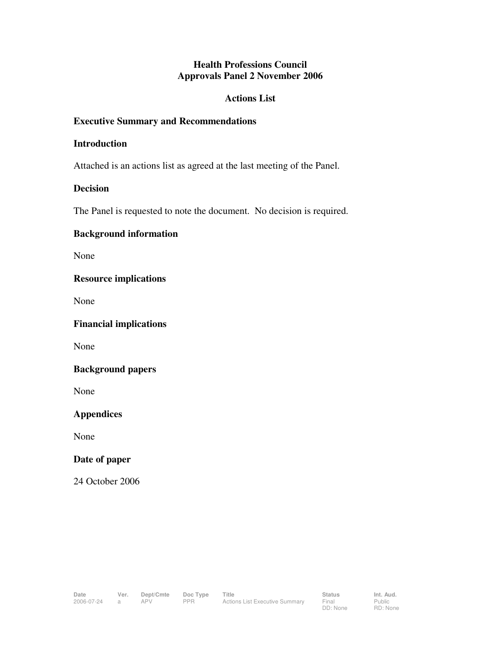## **Health Professions Council Approvals Panel 2 November 2006**

#### **Actions List**

## **Executive Summary and Recommendations**

#### **Introduction**

Attached is an actions list as agreed at the last meeting of the Panel.

## **Decision**

The Panel is requested to note the document. No decision is required.

## **Background information**

None

## **Resource implications**

None

**Financial implications** 

None

#### **Background papers**

None

# **Appendices**

None

#### **Date of paper**

24 October 2006

Public RD: None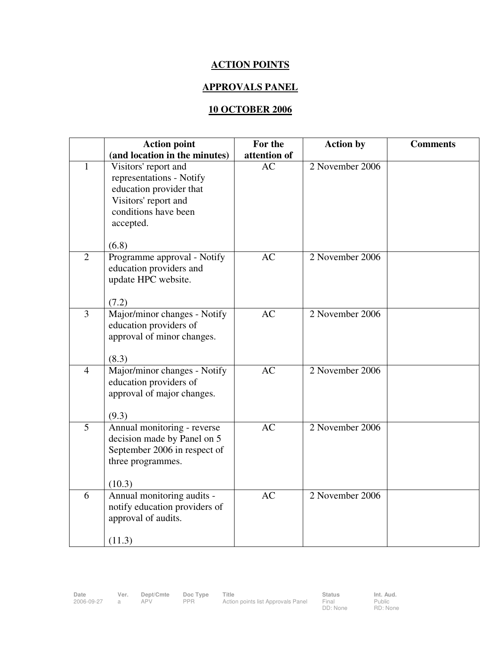# **ACTION POINTS**

## **APPROVALS PANEL**

# **10 OCTOBER 2006**

|                | <b>Action point</b>                                                                                                                               | For the      | <b>Action by</b> | <b>Comments</b> |
|----------------|---------------------------------------------------------------------------------------------------------------------------------------------------|--------------|------------------|-----------------|
|                | (and location in the minutes)                                                                                                                     | attention of |                  |                 |
| 1              | Visitors' report and<br>representations - Notify<br>education provider that<br>Visitors' report and<br>conditions have been<br>accepted.<br>(6.8) | AC           | 2 November 2006  |                 |
| $\overline{2}$ | Programme approval - Notify<br>education providers and<br>update HPC website.<br>(7.2)                                                            | AC           | 2 November 2006  |                 |
| $\overline{3}$ | Major/minor changes - Notify<br>education providers of<br>approval of minor changes.<br>(8.3)                                                     | <b>AC</b>    | 2 November 2006  |                 |
| $\overline{4}$ | Major/minor changes - Notify<br>education providers of<br>approval of major changes.<br>(9.3)                                                     | AC           | 2 November 2006  |                 |
| $\overline{5}$ | Annual monitoring - reverse<br>decision made by Panel on 5<br>September 2006 in respect of<br>three programmes.<br>(10.3)                         | AC           | 2 November 2006  |                 |
| 6              | Annual monitoring audits -<br>notify education providers of<br>approval of audits.<br>(11.3)                                                      | <b>AC</b>    | 2 November 2006  |                 |

Public RD: None